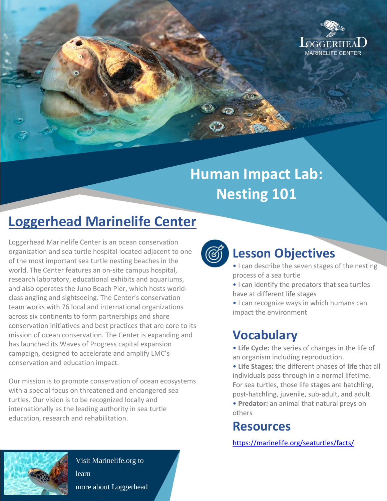

# **Human Impact Lab: Nesting 101**

# **Loggerhead Marinelife Center**

Loggerhead Marinelife Center is an ocean conservation organization and sea turtle hospital located adjacent to one of the most important sea turtle nesting beaches in the world. The Center features an on-site campus hospital, research laboratory, educational exhibits and aquariums, and also operates the Juno Beach Pier, which hosts worldclass angling and sightseeing. The Center's conservation team works with 76 local and international organizations across six continents to form partnerships and share conservation initiatives and best practices that are core to its mission of ocean conservation. The Center is expanding and has launched its Waves of Progress capital expansion campaign, designed to accelerate and amplify LMC's conservation and education impact.

Our mission is to promote conservation of ocean ecosystems with a special focus on threatened and endangered sea turtles. Our vision is to be recognized locally and internationally as the leading authority in sea turtle education, research and rehabilitation.



### **Lesson Objectives**

- I can describe the seven stages of the nesting process of a sea turtle
- I can identify the predators that sea turtles have at different life stages
- I can recognize ways in which humans can impact the environment

# **Vocabulary**

- **Life Cycle:** the series of changes in the life of an organism including reproduction.
- **Life Stages:** the different phases of **life** that all individuals pass through in a normal lifetime. For sea turtles, those life stages are hatchling, post-hatchling, juvenile, sub-adult, and adult.
- **Predator:** an animal that natural preys on others

# **Resources**

<https://marinelife.org/seaturtles/facts/>



Visit Marinelife.org to learn more about Loggerhead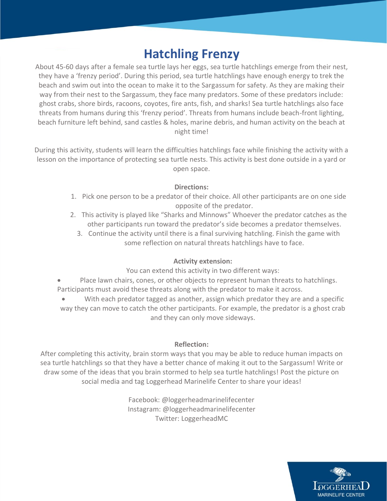### **Hatchling Frenzy**

About 45-60 days after a female sea turtle lays her eggs, sea turtle hatchlings emerge from their nest, they have a 'frenzy period'. During this period, sea turtle hatchlings have enough energy to trek the beach and swim out into the ocean to make it to the Sargassum for safety. As they are making their way from their nest to the Sargassum, they face many predators. Some of these predators include: ghost crabs, shore birds, racoons, coyotes, fire ants, fish, and sharks! Sea turtle hatchlings also face threats from humans during this 'frenzy period'. Threats from humans include beach-front lighting, beach furniture left behind, sand castles & holes, marine debris, and human activity on the beach at night time!

During this activity, students will learn the difficulties hatchlings face while finishing the activity with a lesson on the importance of protecting sea turtle nests. This activity is best done outside in a yard or open space.

#### **Directions:**

- 1. Pick one person to be a predator of their choice. All other participants are on one side opposite of the predator.
- 2. This activity is played like "Sharks and Minnows" Whoever the predator catches as the other participants run toward the predator's side becomes a predator themselves.
	- 3. Continue the activity until there is a final surviving hatchling. Finish the game with some reflection on natural threats hatchlings have to face.

#### **Activity extension:**

You can extend this activity in two different ways:

- Place lawn chairs, cones, or other objects to represent human threats to hatchlings. Participants must avoid these threats along with the predator to make it across.
- With each predator tagged as another, assign which predator they are and a specific way they can move to catch the other participants. For example, the predator is a ghost crab and they can only move sideways.

#### **Reflection:**

After completing this activity, brain storm ways that you may be able to reduce human impacts on sea turtle hatchlings so that they have a better chance of making it out to the Sargassum! Write or draw some of the ideas that you brain stormed to help sea turtle hatchlings! Post the picture on social media and tag Loggerhead Marinelife Center to share your ideas!

> Facebook: @loggerheadmarinelifecenter Instagram: @loggerheadmarinelifecenter Twitter: LoggerheadMC